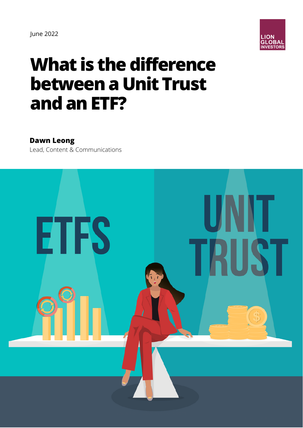

# **What is the difference between a Unit Trust andanETF?**

#### **Dawn Leong**

Lead, Content & Communications

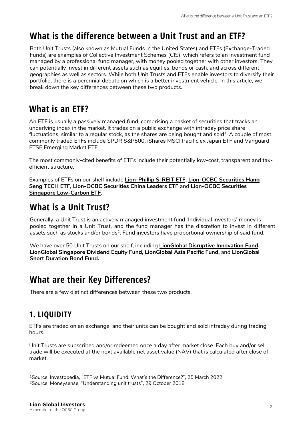# **What is the difference between a Unit Trust and an ETF?**

Both Unit Trusts (also known as Mutual Funds in the United States) and ETFs (Exchange-Traded Funds) are examples of Collective Investment Schemes (CIS), which refers to an investment fund managed by a professional fund manager, with money pooled together with other investors. They can potentially invest in different assets such as equities, bonds or cash, and across different geographies as well as sectors. While both Unit Trusts and ETFs enable investors to diversify their portfolio, there is a perennial debate on which is a better investment vehicle. In this article, we break down the key differences between these two products.

# **What is an ETF?**

An ETF is usually a passively managed fund, comprising a basket of securities that tracks an underlying index in the market. It trades on a public exchange with intraday price share fluctuations, similar to a regular stock, as the shares are being bought and sold $^{\rm 1}$ . A couple of most commonly traded ETFs include SPDR S&P500, iShares MSCI Pacific ex Japan ETF and Vanguard FTSE Emerging Market ETF.

The most commonly-cited benefits of ETFs include their potentially low-cost, transparent and taxefficient structure.

Examples of ETFs on our shelf include **[Lion-Phillip S-REIT ETF](https://www.lionglobalinvestors.com/en/fund-lion-phillip-s-reit-etf.html), Lion-OCBC Securities Hang [Seng TECH ETF, Lion-OCBC Securities China Leaders ETF](https://www.lionglobalinvestors.com/en/fund-lion-ocbcsec-hangseng-tech-etf.html)** and **Lion-OCBC Securities Singapore Low-Carbon ETF**.

### **What is a Unit Trust?**

Generally, a Unit Trust is an actively managed investment fund. Individual investors' money is pooled together in a Unit Trust, and the fund manager has the discretion to invest in different assets such as stocks and/or bonds<sup>2</sup>. Fund investors have proportional ownership of said fund.

We have over 50 Unit Trusts on our shelf, including **[LionGlobal Disruptive Innovation Fund](https://www.lionglobalinvestors.com/en/fund.html?officialNav=DAS), [LionGlobal Singapore Dividend Equity Fund](https://www.lionglobalinvestors.com/en/fund.html?officialNav=LSDS)[, L](https://www.lionglobalinvestors.com/en/fund.html?officialNav=LDAA)[ionGlobal Asia Pacific Fund](https://www.lionglobalinvestors.com/en/fund.html?officialNav=OAPS)[,](https://www.lionglobalinvestors.com/en/fund.html?officialNav=LDAA)** and **LionGlobal Short Duration Bond Fund.**

#### **What are their Key Differences?**

There are a few distinct differences between these two products.

#### **1. LIQUIDITY**

ETFs are traded on an exchange, and their units can be bought and sold intraday during trading hours.

Unit Trusts are subscribed and/or redeemed once a day after market close. Each buy and/or sell trade will be executed at the next available net asset value (NAV) that is calculated after close of market.

<sup>1</sup>Source: Investopedia, "[ETF vs Mutual Fund: What's the Difference?](https://www.investopedia.com/articles/investing/110314/key-differences-between-etfs-and-mutual-funds.asp)", 25 March 2022 <sup>2</sup>Source: Moneysense, "[Understanding unit trusts"](https://www.moneysense.gov.sg/articles/2018/10/understanding-unit-trusts), 29 October 2018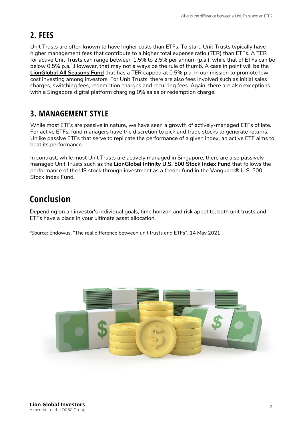#### **2. FEES**

Unit Trusts are often known to have higher costs than ETFs. To start, Unit Trusts typically have higher management fees that contribute to a higher total expense ratio (TER) than ETFs. A TER for active Unit Trusts can range between 1.5% to 2.5% per annum (p.a.), while that of ETFs can be below 0.5% p.a.<sup>3</sup>.However, that may not always be the rule of thumb. A case in point will be the **[LionGlobal All Seasons Fund](https://www.lionglobalinvestors.com/en/fund.html?officialNav=LC1)** that has a TER capped at 0.5% p.a, in our mission to promote lowcost investing among investors. For Unit Trusts, there are also fees involved such as initial sales charges, switching fees, redemption charges and recurring fees. Again, there are also exceptions with a Singapore digital platform charging 0% sales or redemption charge.

#### **3. MANAGEMENT STYLE**

While most ETFs are passive in nature, we have seen a growth of actively-managed ETFs of late. For active ETFs, fund managers have the discretion to pick and trade stocks to generate returns. Unlike passive ETFs that serve to replicate the performance of a given index, an active ETF aims to beat its performance.

In contrast, while most Unit Trusts are actively managed in Singapore, there are also passivelymanaged Unit Trusts such as the **[LionGlobal Infinity U.S. 500 Stock Index Fund](https://www.lionglobalinvestors.com/en/fund.html?officialNav=IUSS)** that follows the performance of the US stock through investment as a feeder fund in the Vanguard® U.S. 500 Stock Index Fund.

# **Conclusion**

Depending on an investor's individual goals, time horizon and risk appetite, both unit trusts and ETFs have a place in your ultimate asset allocation.

3Source: Endowus, ["The real difference between unit trusts and ETFs"](https://endowus.com/insights/unit-trust-etfs-difference), 14 May 2021